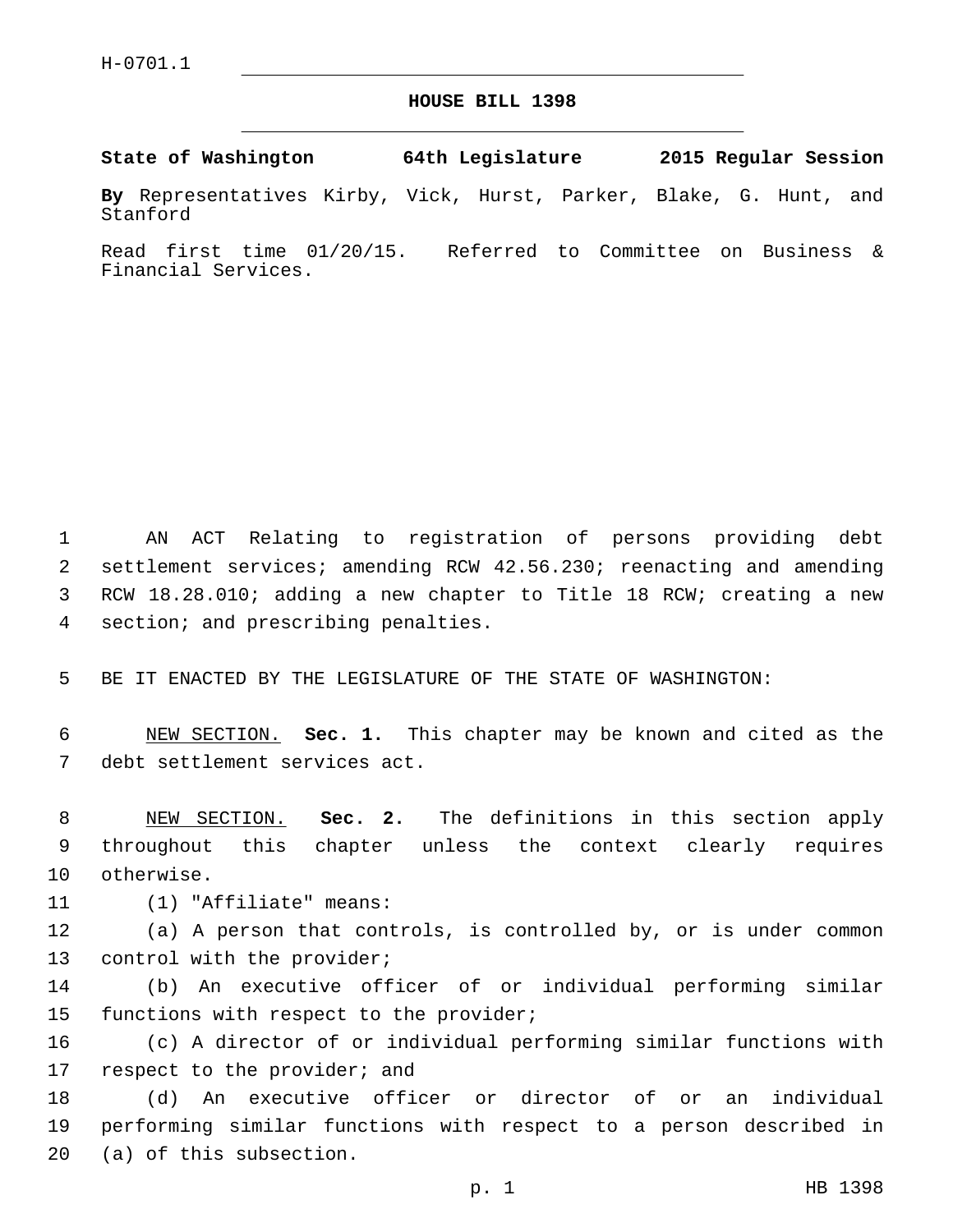## **HOUSE BILL 1398**

**State of Washington 64th Legislature 2015 Regular Session**

**By** Representatives Kirby, Vick, Hurst, Parker, Blake, G. Hunt, and Stanford

Read first time 01/20/15. Referred to Committee on Business & Financial Services.

 AN ACT Relating to registration of persons providing debt settlement services; amending RCW 42.56.230; reenacting and amending RCW 18.28.010; adding a new chapter to Title 18 RCW; creating a new 4 section; and prescribing penalties.

5 BE IT ENACTED BY THE LEGISLATURE OF THE STATE OF WASHINGTON:

6 NEW SECTION. **Sec. 1.** This chapter may be known and cited as the 7 debt settlement services act.

8 NEW SECTION. **Sec. 2.** The definitions in this section apply 9 throughout this chapter unless the context clearly requires 10 otherwise.

11 (1) "Affiliate" means:

12 (a) A person that controls, is controlled by, or is under common 13 control with the provider;

14 (b) An executive officer of or individual performing similar 15 functions with respect to the provider;

16 (c) A director of or individual performing similar functions with 17 respect to the provider; and

18 (d) An executive officer or director of or an individual 19 performing similar functions with respect to a person described in 20 (a) of this subsection.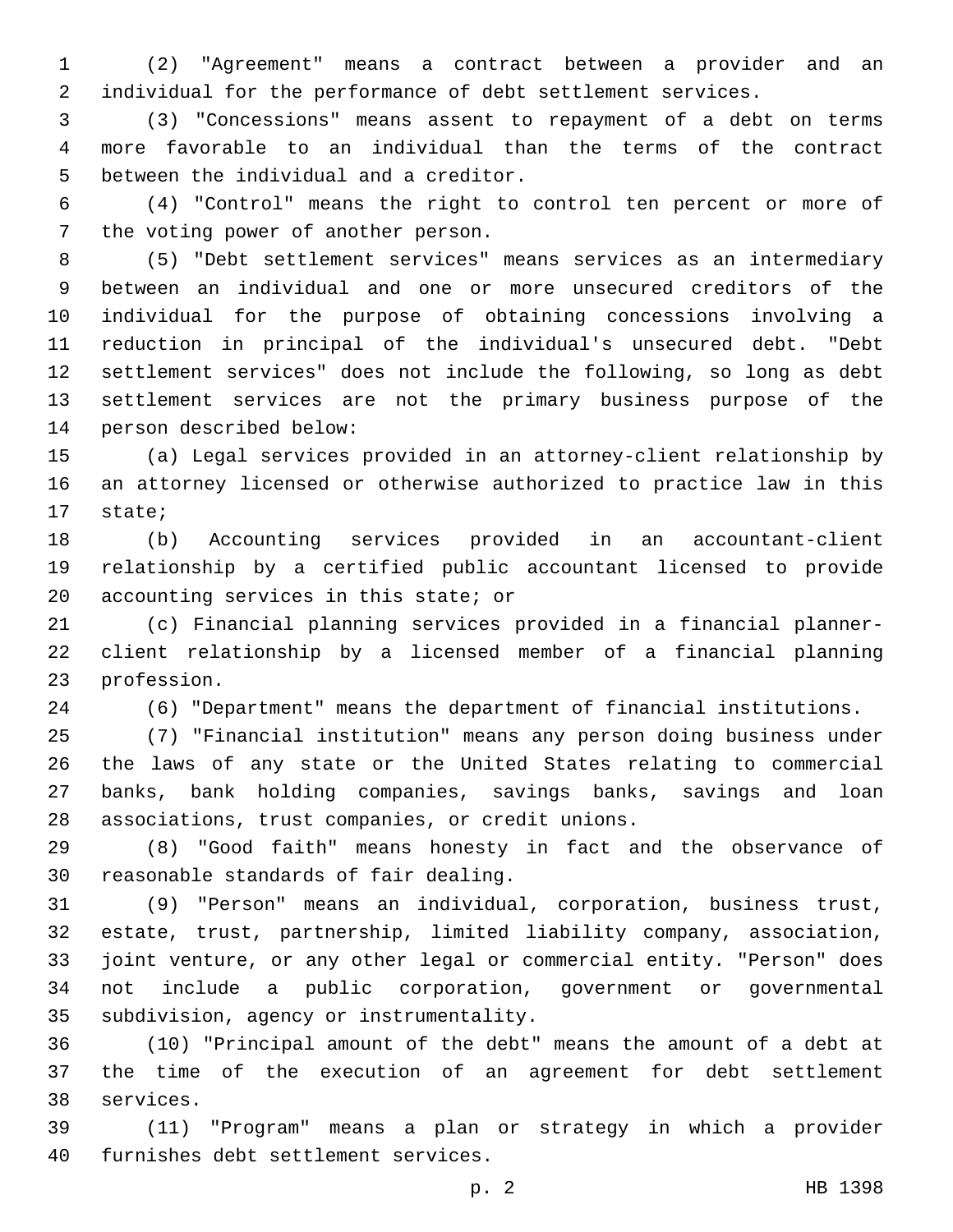(2) "Agreement" means a contract between a provider and an individual for the performance of debt settlement services.

 (3) "Concessions" means assent to repayment of a debt on terms more favorable to an individual than the terms of the contract 5 between the individual and a creditor.

 (4) "Control" means the right to control ten percent or more of 7 the voting power of another person.

 (5) "Debt settlement services" means services as an intermediary between an individual and one or more unsecured creditors of the individual for the purpose of obtaining concessions involving a reduction in principal of the individual's unsecured debt. "Debt settlement services" does not include the following, so long as debt settlement services are not the primary business purpose of the 14 person described below:

 (a) Legal services provided in an attorney-client relationship by an attorney licensed or otherwise authorized to practice law in this 17 state;

 (b) Accounting services provided in an accountant-client relationship by a certified public accountant licensed to provide 20 accounting services in this state; or

 (c) Financial planning services provided in a financial planner- client relationship by a licensed member of a financial planning 23 profession.

(6) "Department" means the department of financial institutions.

 (7) "Financial institution" means any person doing business under the laws of any state or the United States relating to commercial banks, bank holding companies, savings banks, savings and loan 28 associations, trust companies, or credit unions.

 (8) "Good faith" means honesty in fact and the observance of 30 reasonable standards of fair dealing.

 (9) "Person" means an individual, corporation, business trust, estate, trust, partnership, limited liability company, association, joint venture, or any other legal or commercial entity. "Person" does not include a public corporation, government or governmental 35 subdivision, agency or instrumentality.

 (10) "Principal amount of the debt" means the amount of a debt at the time of the execution of an agreement for debt settlement 38 services.

 (11) "Program" means a plan or strategy in which a provider 40 furnishes debt settlement services.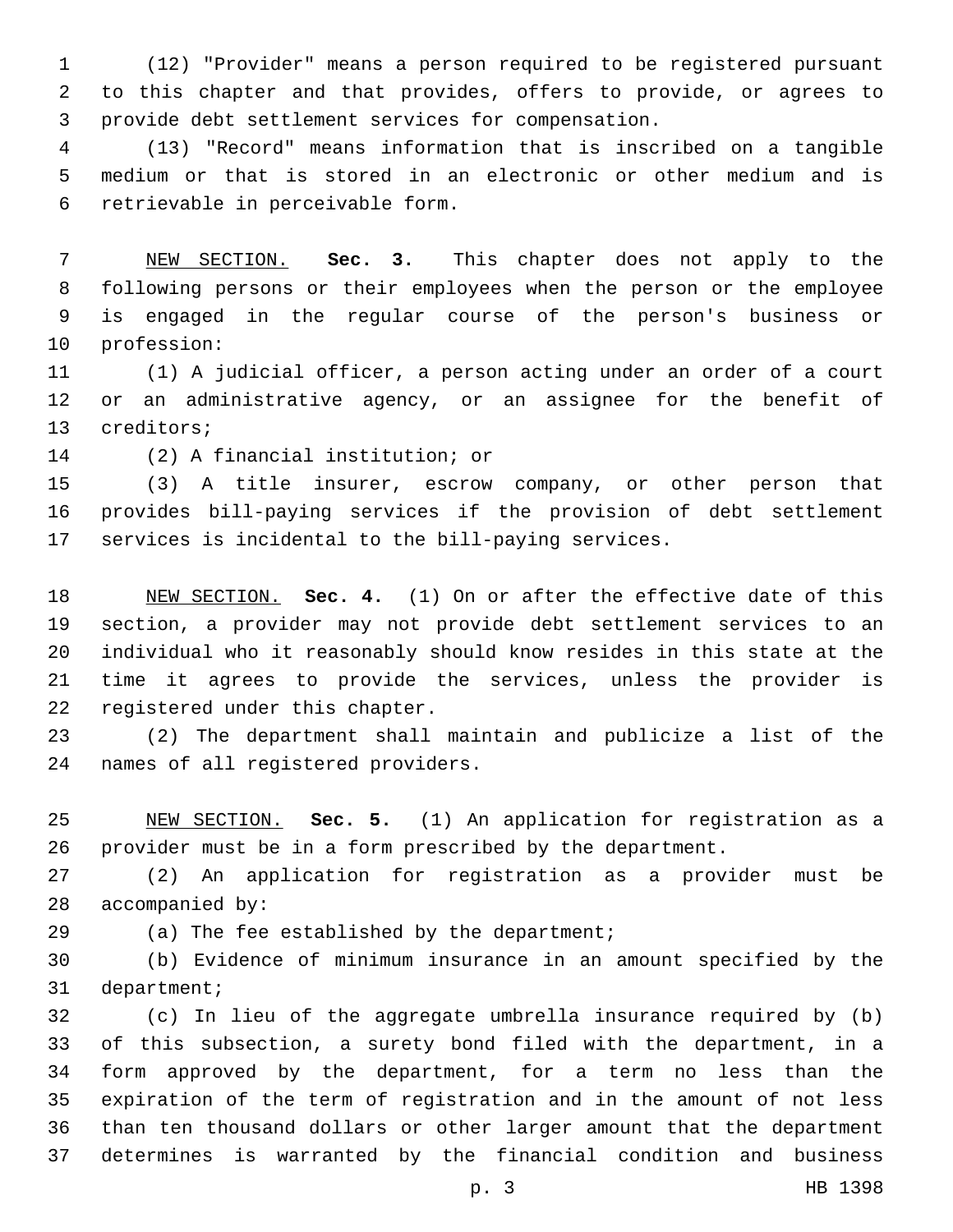(12) "Provider" means a person required to be registered pursuant to this chapter and that provides, offers to provide, or agrees to 3 provide debt settlement services for compensation.

 (13) "Record" means information that is inscribed on a tangible medium or that is stored in an electronic or other medium and is 6 retrievable in perceivable form.

 NEW SECTION. **Sec. 3.** This chapter does not apply to the following persons or their employees when the person or the employee is engaged in the regular course of the person's business or profession:

 (1) A judicial officer, a person acting under an order of a court or an administrative agency, or an assignee for the benefit of 13 creditors;

14 (2) A financial institution; or

 (3) A title insurer, escrow company, or other person that provides bill-paying services if the provision of debt settlement services is incidental to the bill-paying services.

 NEW SECTION. **Sec. 4.** (1) On or after the effective date of this section, a provider may not provide debt settlement services to an individual who it reasonably should know resides in this state at the time it agrees to provide the services, unless the provider is registered under this chapter.

 (2) The department shall maintain and publicize a list of the 24 names of all registered providers.

 NEW SECTION. **Sec. 5.** (1) An application for registration as a provider must be in a form prescribed by the department.

 (2) An application for registration as a provider must be 28 accompanied by:

29 (a) The fee established by the department;

 (b) Evidence of minimum insurance in an amount specified by the 31 department;

 (c) In lieu of the aggregate umbrella insurance required by (b) of this subsection, a surety bond filed with the department, in a form approved by the department, for a term no less than the expiration of the term of registration and in the amount of not less than ten thousand dollars or other larger amount that the department determines is warranted by the financial condition and business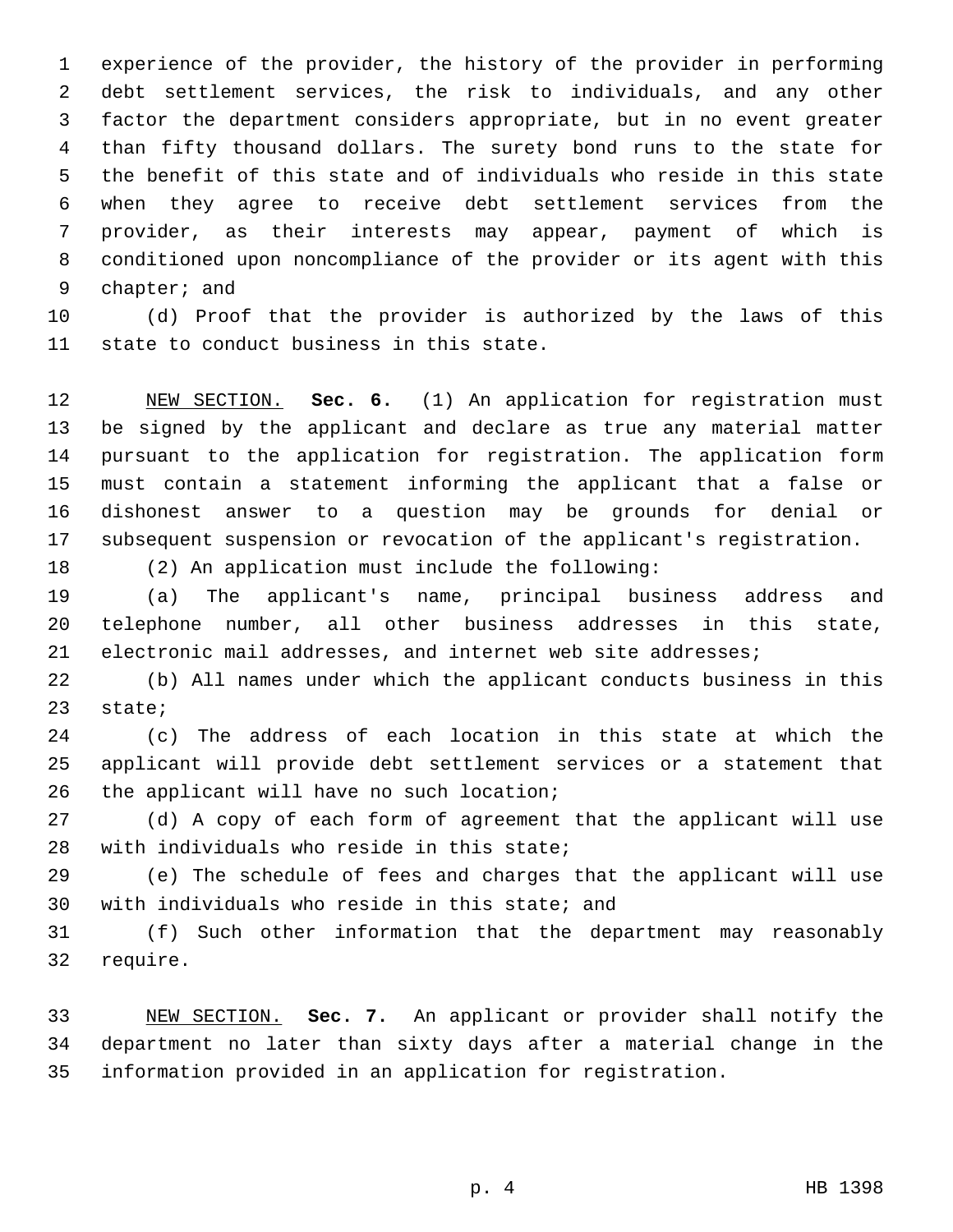experience of the provider, the history of the provider in performing debt settlement services, the risk to individuals, and any other factor the department considers appropriate, but in no event greater than fifty thousand dollars. The surety bond runs to the state for the benefit of this state and of individuals who reside in this state when they agree to receive debt settlement services from the provider, as their interests may appear, payment of which is conditioned upon noncompliance of the provider or its agent with this 9 chapter; and

 (d) Proof that the provider is authorized by the laws of this 11 state to conduct business in this state.

 NEW SECTION. **Sec. 6.** (1) An application for registration must be signed by the applicant and declare as true any material matter pursuant to the application for registration. The application form must contain a statement informing the applicant that a false or dishonest answer to a question may be grounds for denial or subsequent suspension or revocation of the applicant's registration.

(2) An application must include the following:

 (a) The applicant's name, principal business address and telephone number, all other business addresses in this state, electronic mail addresses, and internet web site addresses;

 (b) All names under which the applicant conducts business in this 23 state;

 (c) The address of each location in this state at which the applicant will provide debt settlement services or a statement that 26 the applicant will have no such location;

 (d) A copy of each form of agreement that the applicant will use 28 with individuals who reside in this state;

 (e) The schedule of fees and charges that the applicant will use 30 with individuals who reside in this state; and

 (f) Such other information that the department may reasonably 32 require.

 NEW SECTION. **Sec. 7.** An applicant or provider shall notify the department no later than sixty days after a material change in the information provided in an application for registration.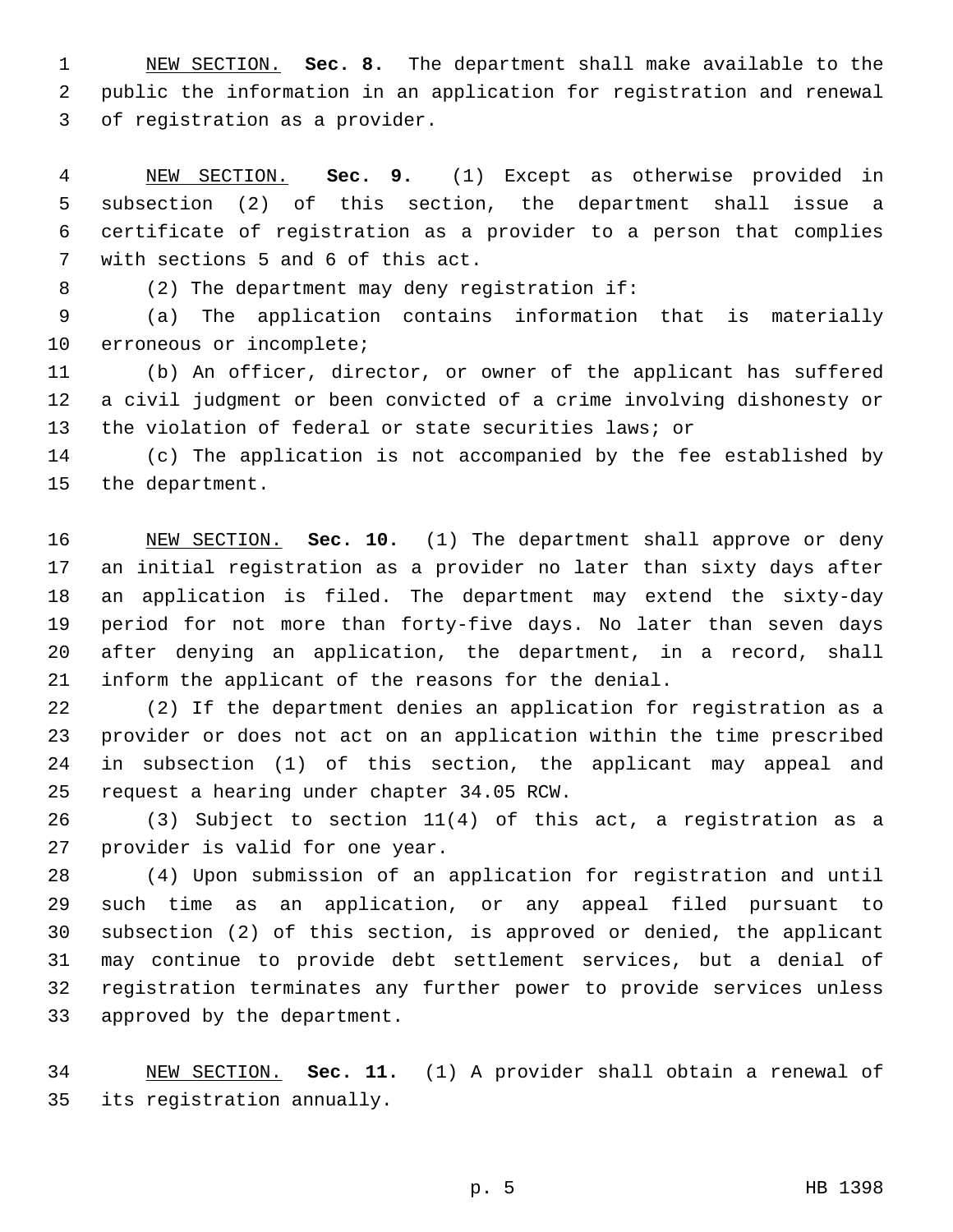NEW SECTION. **Sec. 8.** The department shall make available to the public the information in an application for registration and renewal of registration as a provider.

 NEW SECTION. **Sec. 9.** (1) Except as otherwise provided in subsection (2) of this section, the department shall issue a certificate of registration as a provider to a person that complies with sections 5 and 6 of this act.

8 (2) The department may deny registration if:

 (a) The application contains information that is materially 10 erroneous or incomplete;

 (b) An officer, director, or owner of the applicant has suffered a civil judgment or been convicted of a crime involving dishonesty or the violation of federal or state securities laws; or

 (c) The application is not accompanied by the fee established by 15 the department.

 NEW SECTION. **Sec. 10.** (1) The department shall approve or deny an initial registration as a provider no later than sixty days after an application is filed. The department may extend the sixty-day period for not more than forty-five days. No later than seven days after denying an application, the department, in a record, shall inform the applicant of the reasons for the denial.

 (2) If the department denies an application for registration as a provider or does not act on an application within the time prescribed in subsection (1) of this section, the applicant may appeal and 25 request a hearing under chapter 34.05 RCW.

 (3) Subject to section 11(4) of this act, a registration as a 27 provider is valid for one year.

 (4) Upon submission of an application for registration and until such time as an application, or any appeal filed pursuant to subsection (2) of this section, is approved or denied, the applicant may continue to provide debt settlement services, but a denial of registration terminates any further power to provide services unless 33 approved by the department.

 NEW SECTION. **Sec. 11.** (1) A provider shall obtain a renewal of its registration annually.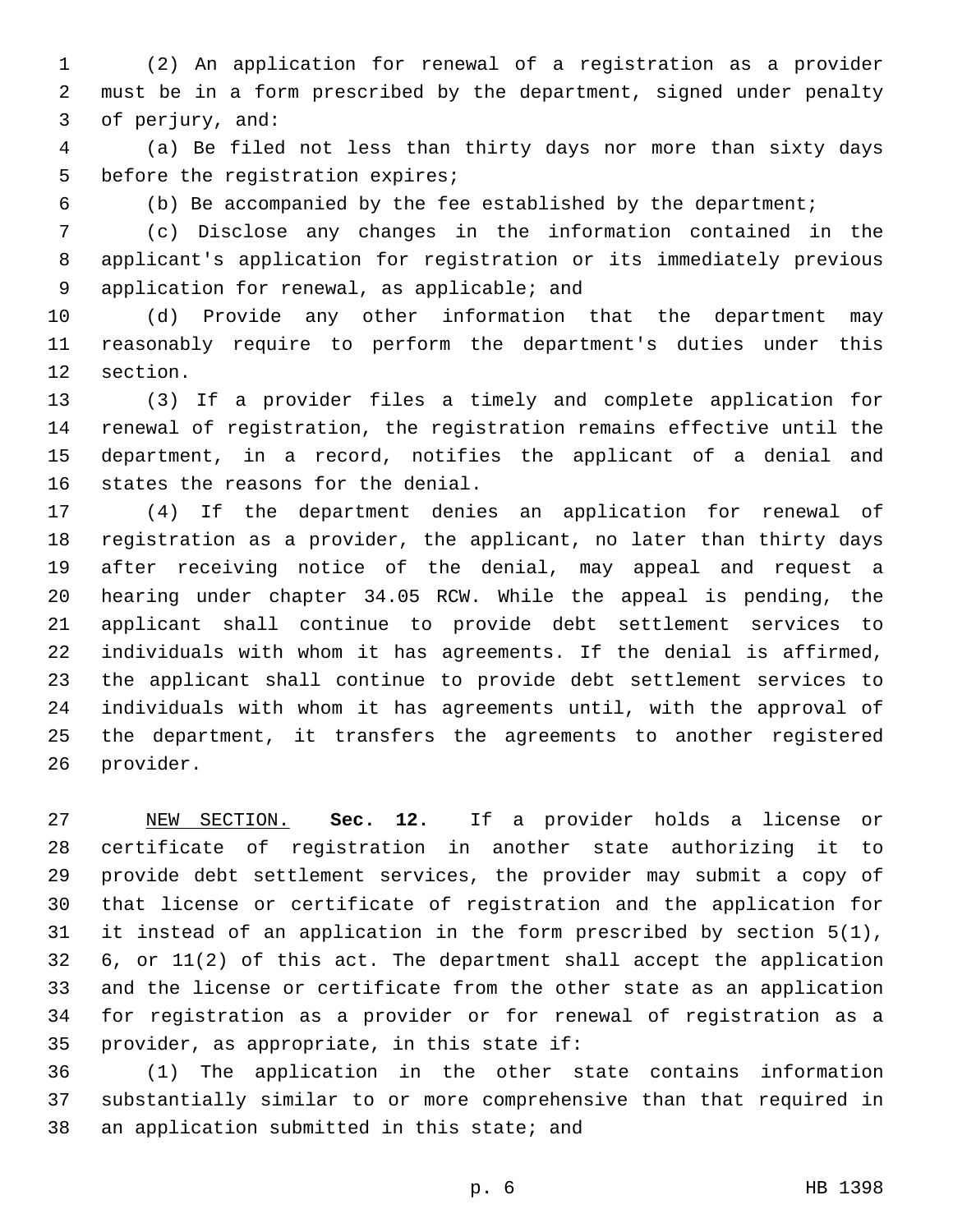(2) An application for renewal of a registration as a provider must be in a form prescribed by the department, signed under penalty 3 of perjury, and:

 (a) Be filed not less than thirty days nor more than sixty days 5 before the registration expires;

(b) Be accompanied by the fee established by the department;

 (c) Disclose any changes in the information contained in the applicant's application for registration or its immediately previous 9 application for renewal, as applicable; and

 (d) Provide any other information that the department may reasonably require to perform the department's duties under this 12 section.

 (3) If a provider files a timely and complete application for renewal of registration, the registration remains effective until the department, in a record, notifies the applicant of a denial and 16 states the reasons for the denial.

 (4) If the department denies an application for renewal of registration as a provider, the applicant, no later than thirty days after receiving notice of the denial, may appeal and request a hearing under chapter 34.05 RCW. While the appeal is pending, the applicant shall continue to provide debt settlement services to individuals with whom it has agreements. If the denial is affirmed, the applicant shall continue to provide debt settlement services to individuals with whom it has agreements until, with the approval of the department, it transfers the agreements to another registered 26 provider.

 NEW SECTION. **Sec. 12.** If a provider holds a license or certificate of registration in another state authorizing it to provide debt settlement services, the provider may submit a copy of that license or certificate of registration and the application for it instead of an application in the form prescribed by section 5(1), 6, or 11(2) of this act. The department shall accept the application and the license or certificate from the other state as an application for registration as a provider or for renewal of registration as a provider, as appropriate, in this state if:

 (1) The application in the other state contains information substantially similar to or more comprehensive than that required in 38 an application submitted in this state; and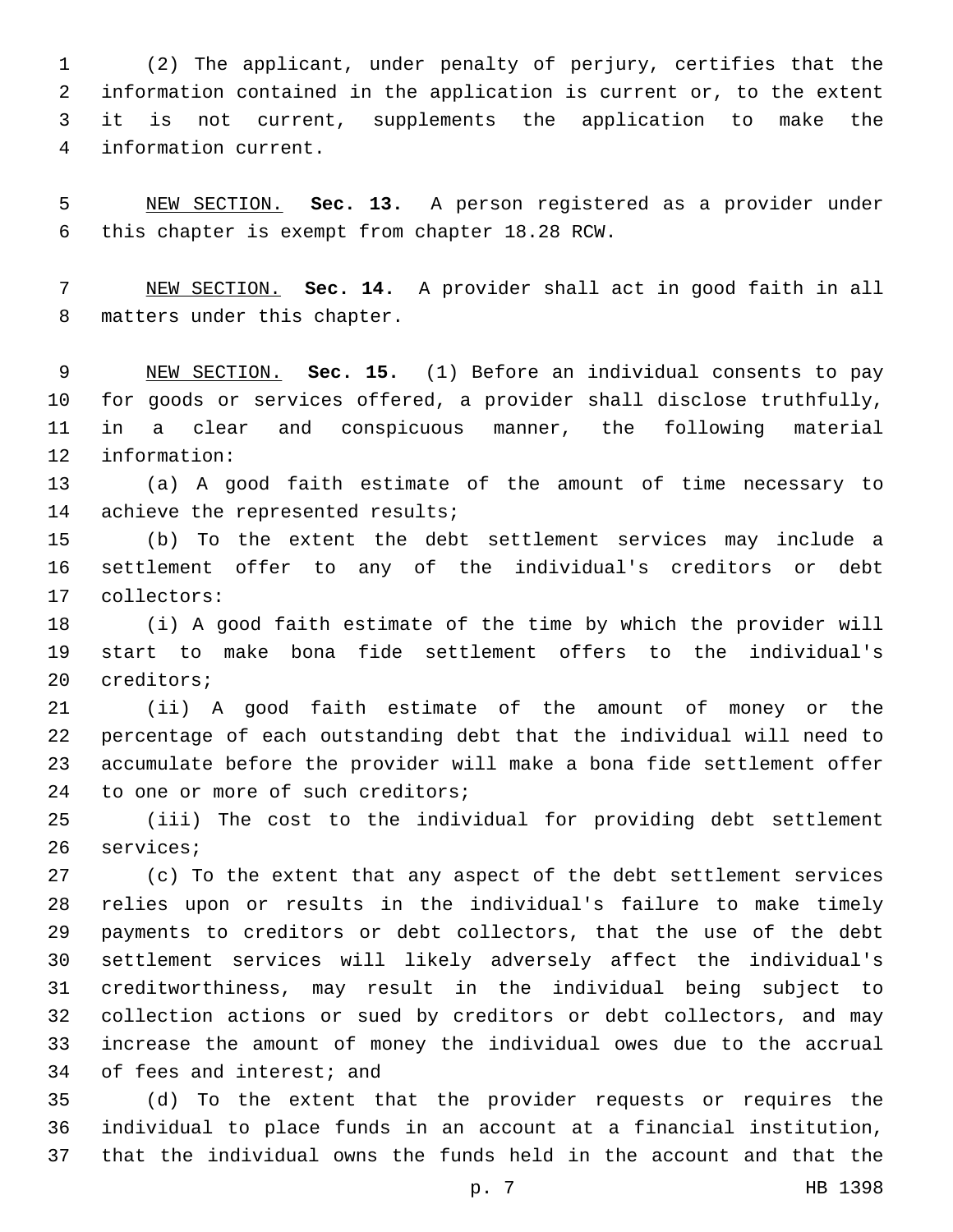(2) The applicant, under penalty of perjury, certifies that the information contained in the application is current or, to the extent it is not current, supplements the application to make the information current.4

 NEW SECTION. **Sec. 13.** A person registered as a provider under this chapter is exempt from chapter 18.28 RCW.

 NEW SECTION. **Sec. 14.** A provider shall act in good faith in all matters under this chapter.

 NEW SECTION. **Sec. 15.** (1) Before an individual consents to pay for goods or services offered, a provider shall disclose truthfully, in a clear and conspicuous manner, the following material information:

 (a) A good faith estimate of the amount of time necessary to 14 achieve the represented results;

 (b) To the extent the debt settlement services may include a settlement offer to any of the individual's creditors or debt collectors:17

 (i) A good faith estimate of the time by which the provider will start to make bona fide settlement offers to the individual's 20 creditors;

 (ii) A good faith estimate of the amount of money or the percentage of each outstanding debt that the individual will need to accumulate before the provider will make a bona fide settlement offer 24 to one or more of such creditors;

 (iii) The cost to the individual for providing debt settlement 26 services;

 (c) To the extent that any aspect of the debt settlement services relies upon or results in the individual's failure to make timely payments to creditors or debt collectors, that the use of the debt settlement services will likely adversely affect the individual's creditworthiness, may result in the individual being subject to collection actions or sued by creditors or debt collectors, and may increase the amount of money the individual owes due to the accrual 34 of fees and interest; and

 (d) To the extent that the provider requests or requires the individual to place funds in an account at a financial institution, that the individual owns the funds held in the account and that the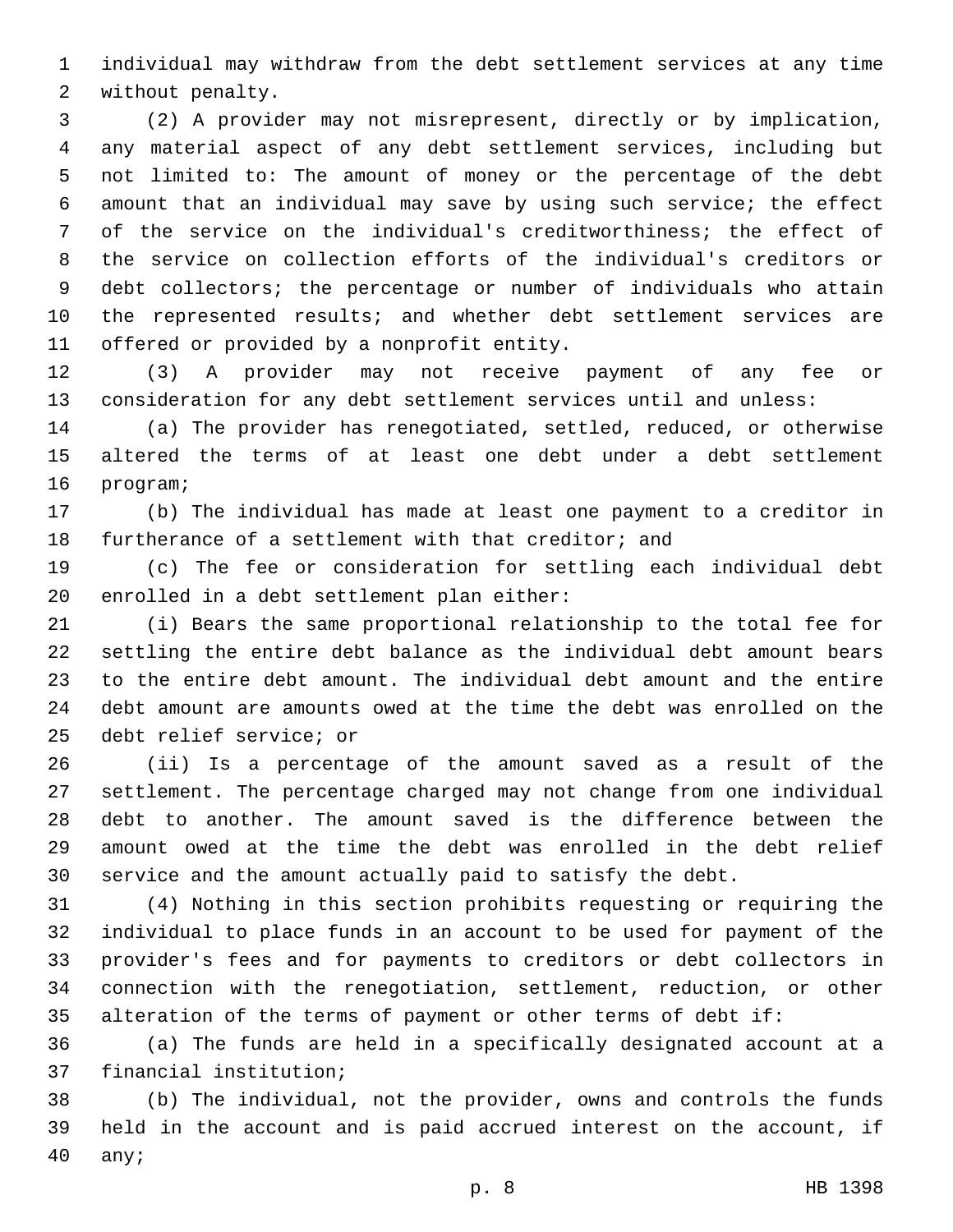individual may withdraw from the debt settlement services at any time 2 without penalty.

 (2) A provider may not misrepresent, directly or by implication, any material aspect of any debt settlement services, including but not limited to: The amount of money or the percentage of the debt amount that an individual may save by using such service; the effect of the service on the individual's creditworthiness; the effect of the service on collection efforts of the individual's creditors or debt collectors; the percentage or number of individuals who attain 10 the represented results; and whether debt settlement services are 11 offered or provided by a nonprofit entity.

 (3) A provider may not receive payment of any fee or consideration for any debt settlement services until and unless:

 (a) The provider has renegotiated, settled, reduced, or otherwise altered the terms of at least one debt under a debt settlement 16 program;

 (b) The individual has made at least one payment to a creditor in furtherance of a settlement with that creditor; and

 (c) The fee or consideration for settling each individual debt 20 enrolled in a debt settlement plan either:

 (i) Bears the same proportional relationship to the total fee for settling the entire debt balance as the individual debt amount bears to the entire debt amount. The individual debt amount and the entire debt amount are amounts owed at the time the debt was enrolled on the 25 debt relief service; or

 (ii) Is a percentage of the amount saved as a result of the settlement. The percentage charged may not change from one individual debt to another. The amount saved is the difference between the amount owed at the time the debt was enrolled in the debt relief service and the amount actually paid to satisfy the debt.

 (4) Nothing in this section prohibits requesting or requiring the individual to place funds in an account to be used for payment of the provider's fees and for payments to creditors or debt collectors in connection with the renegotiation, settlement, reduction, or other alteration of the terms of payment or other terms of debt if:

 (a) The funds are held in a specifically designated account at a 37 financial institution;

 (b) The individual, not the provider, owns and controls the funds held in the account and is paid accrued interest on the account, if 40 any;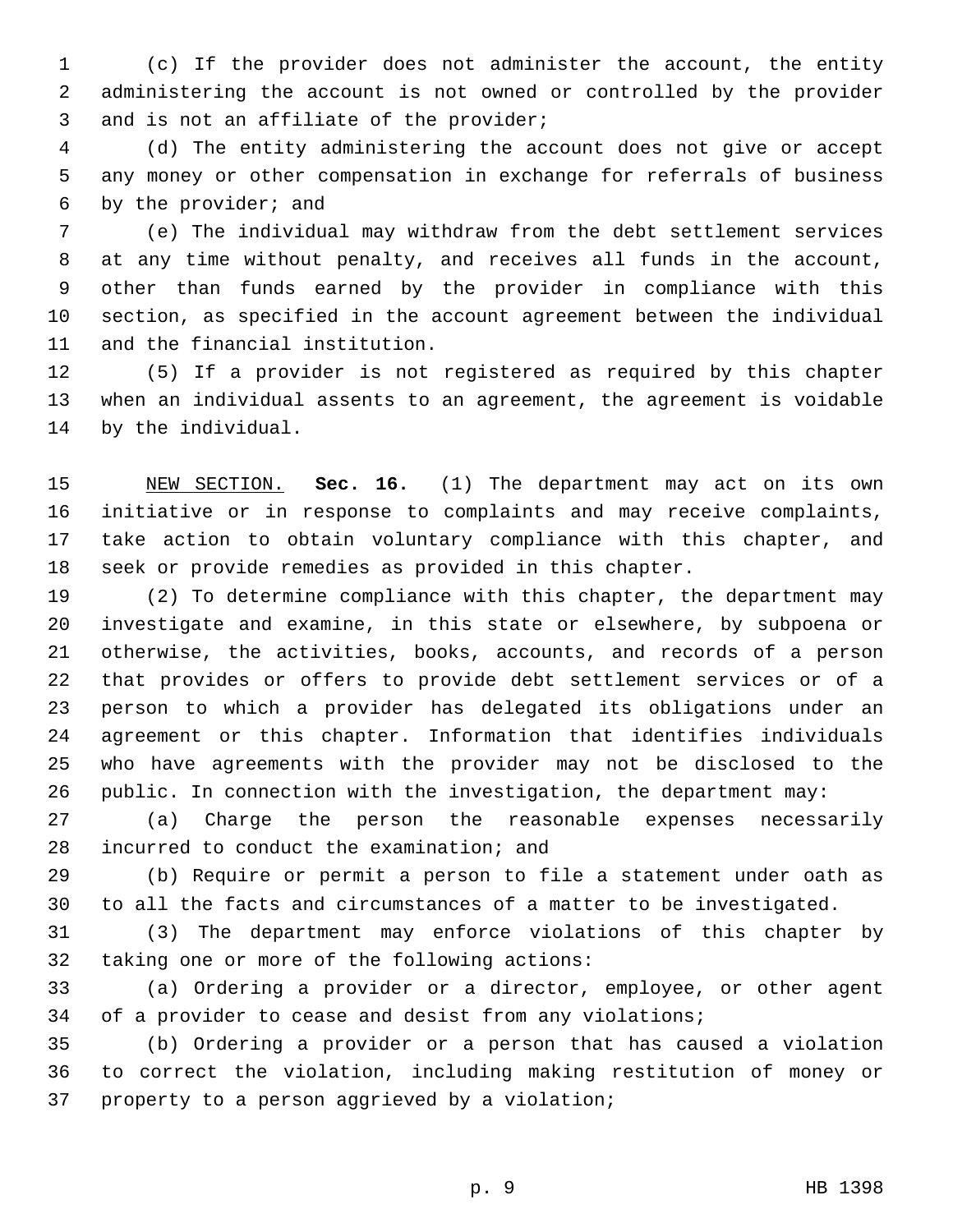(c) If the provider does not administer the account, the entity administering the account is not owned or controlled by the provider 3 and is not an affiliate of the provider;

 (d) The entity administering the account does not give or accept any money or other compensation in exchange for referrals of business 6 by the provider; and

 (e) The individual may withdraw from the debt settlement services at any time without penalty, and receives all funds in the account, other than funds earned by the provider in compliance with this section, as specified in the account agreement between the individual 11 and the financial institution.

 (5) If a provider is not registered as required by this chapter when an individual assents to an agreement, the agreement is voidable 14 by the individual.

 NEW SECTION. **Sec. 16.** (1) The department may act on its own initiative or in response to complaints and may receive complaints, take action to obtain voluntary compliance with this chapter, and seek or provide remedies as provided in this chapter.

 (2) To determine compliance with this chapter, the department may investigate and examine, in this state or elsewhere, by subpoena or otherwise, the activities, books, accounts, and records of a person that provides or offers to provide debt settlement services or of a person to which a provider has delegated its obligations under an agreement or this chapter. Information that identifies individuals who have agreements with the provider may not be disclosed to the public. In connection with the investigation, the department may:

 (a) Charge the person the reasonable expenses necessarily 28 incurred to conduct the examination; and

 (b) Require or permit a person to file a statement under oath as to all the facts and circumstances of a matter to be investigated.

 (3) The department may enforce violations of this chapter by 32 taking one or more of the following actions:

 (a) Ordering a provider or a director, employee, or other agent of a provider to cease and desist from any violations;

 (b) Ordering a provider or a person that has caused a violation to correct the violation, including making restitution of money or 37 property to a person aggrieved by a violation;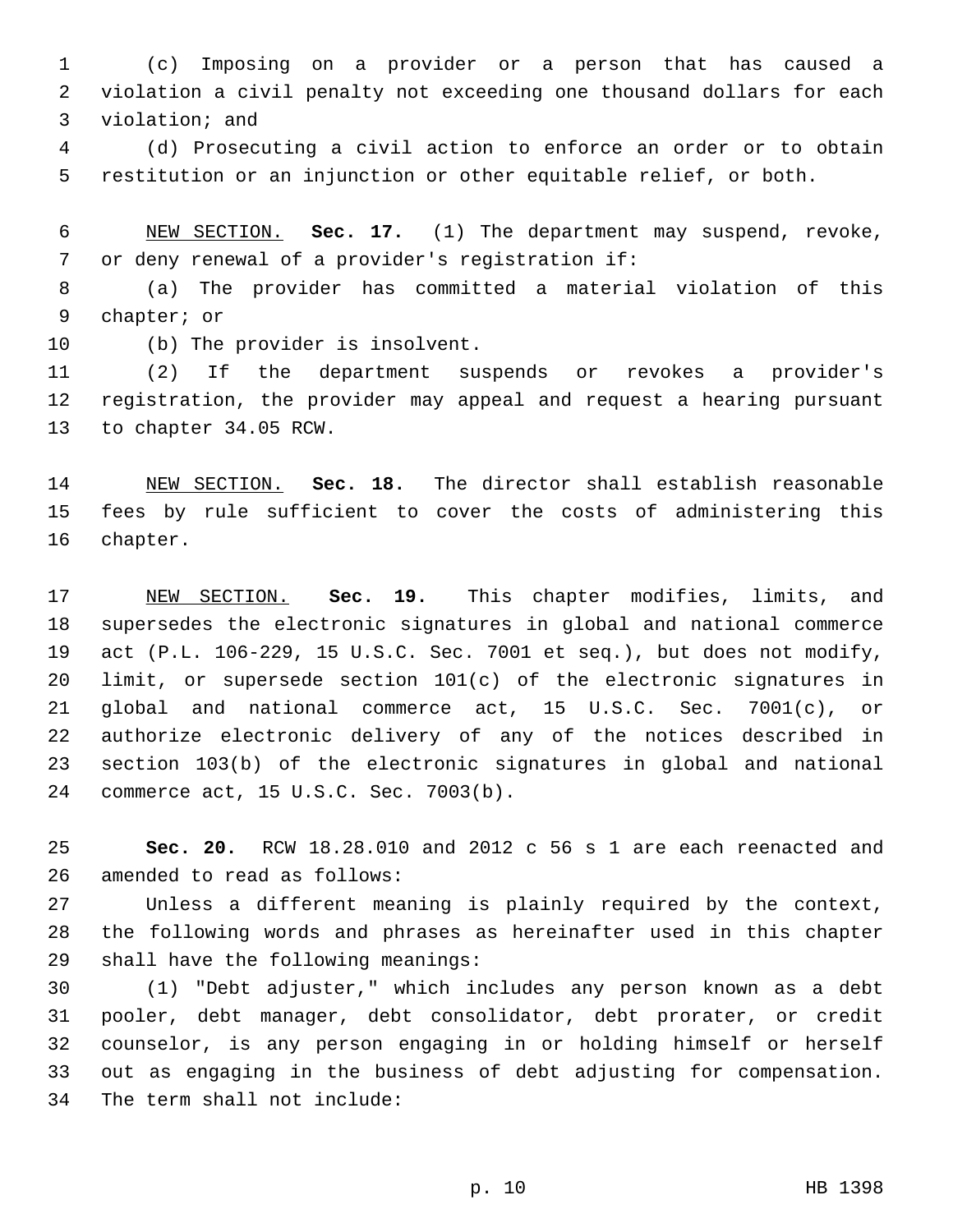(c) Imposing on a provider or a person that has caused a violation a civil penalty not exceeding one thousand dollars for each 3 violation; and

 (d) Prosecuting a civil action to enforce an order or to obtain restitution or an injunction or other equitable relief, or both.

 NEW SECTION. **Sec. 17.** (1) The department may suspend, revoke, or deny renewal of a provider's registration if:

 (a) The provider has committed a material violation of this 9 chapter; or

10 (b) The provider is insolvent.

 (2) If the department suspends or revokes a provider's registration, the provider may appeal and request a hearing pursuant 13 to chapter 34.05 RCW.

 NEW SECTION. **Sec. 18.** The director shall establish reasonable fees by rule sufficient to cover the costs of administering this chapter.

 NEW SECTION. **Sec. 19.** This chapter modifies, limits, and supersedes the electronic signatures in global and national commerce act (P.L. 106-229, 15 U.S.C. Sec. 7001 et seq.), but does not modify, limit, or supersede section 101(c) of the electronic signatures in global and national commerce act, 15 U.S.C. Sec. 7001(c), or authorize electronic delivery of any of the notices described in section 103(b) of the electronic signatures in global and national commerce act, 15 U.S.C. Sec. 7003(b).

 **Sec. 20.** RCW 18.28.010 and 2012 c 56 s 1 are each reenacted and 26 amended to read as follows:

 Unless a different meaning is plainly required by the context, the following words and phrases as hereinafter used in this chapter 29 shall have the following meanings:

 (1) "Debt adjuster," which includes any person known as a debt pooler, debt manager, debt consolidator, debt prorater, or credit counselor, is any person engaging in or holding himself or herself out as engaging in the business of debt adjusting for compensation. 34 The term shall not include: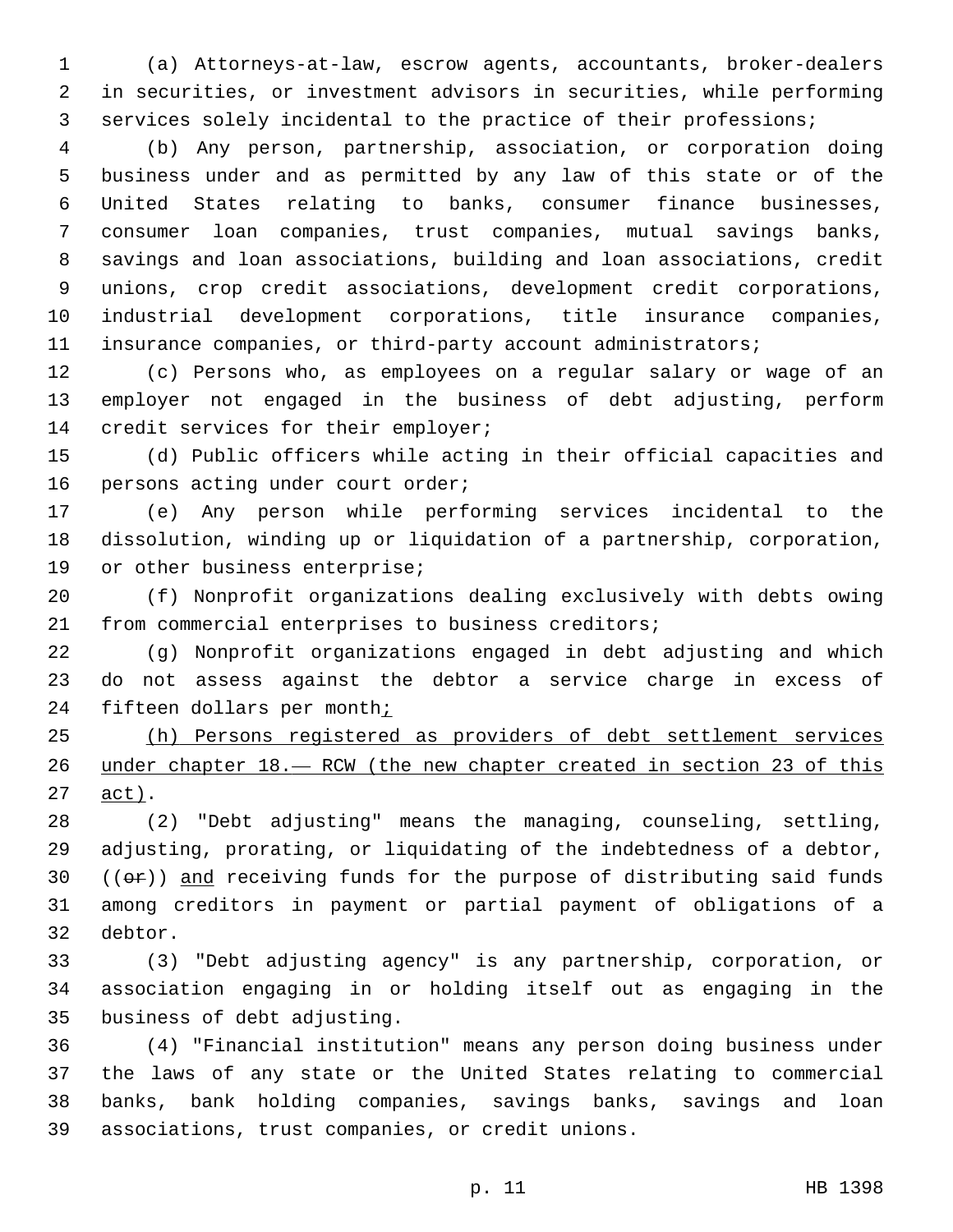(a) Attorneys-at-law, escrow agents, accountants, broker-dealers in securities, or investment advisors in securities, while performing services solely incidental to the practice of their professions;

 (b) Any person, partnership, association, or corporation doing business under and as permitted by any law of this state or of the United States relating to banks, consumer finance businesses, consumer loan companies, trust companies, mutual savings banks, savings and loan associations, building and loan associations, credit unions, crop credit associations, development credit corporations, industrial development corporations, title insurance companies, insurance companies, or third-party account administrators;

 (c) Persons who, as employees on a regular salary or wage of an employer not engaged in the business of debt adjusting, perform 14 credit services for their employer;

 (d) Public officers while acting in their official capacities and 16 persons acting under court order;

 (e) Any person while performing services incidental to the dissolution, winding up or liquidation of a partnership, corporation, 19 or other business enterprise;

 (f) Nonprofit organizations dealing exclusively with debts owing from commercial enterprises to business creditors;

 (g) Nonprofit organizations engaged in debt adjusting and which do not assess against the debtor a service charge in excess of 24 fifteen dollars per month;

 (h) Persons registered as providers of debt settlement services under chapter 18.— RCW (the new chapter created in section 23 of this 27 act).

 (2) "Debt adjusting" means the managing, counseling, settling, adjusting, prorating, or liquidating of the indebtedness of a debtor,  $((\theta \cdot \hat{r}))$  and receiving funds for the purpose of distributing said funds among creditors in payment or partial payment of obligations of a 32 debtor.

 (3) "Debt adjusting agency" is any partnership, corporation, or association engaging in or holding itself out as engaging in the 35 business of debt adjusting.

 (4) "Financial institution" means any person doing business under the laws of any state or the United States relating to commercial banks, bank holding companies, savings banks, savings and loan associations, trust companies, or credit unions.39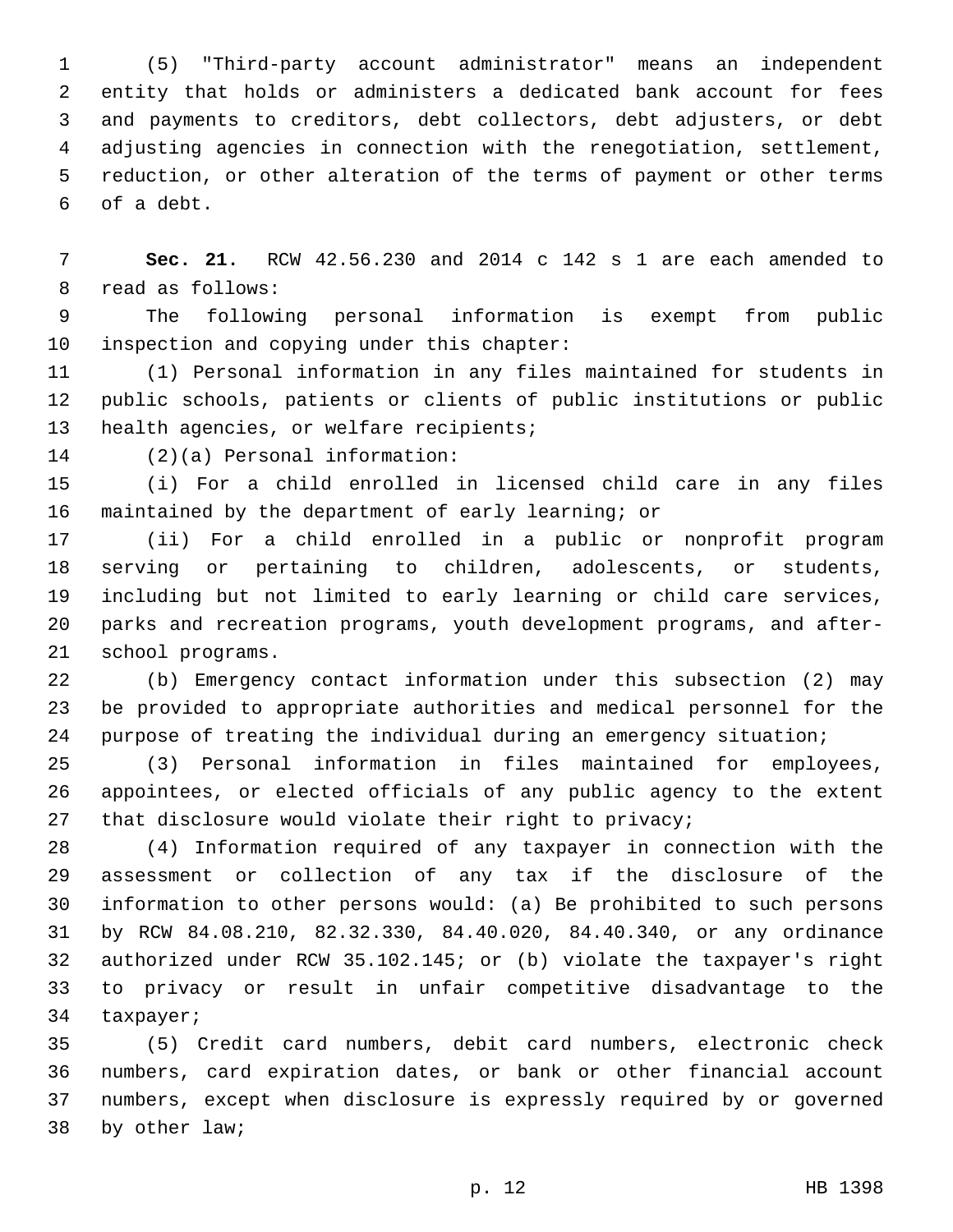(5) "Third-party account administrator" means an independent entity that holds or administers a dedicated bank account for fees and payments to creditors, debt collectors, debt adjusters, or debt adjusting agencies in connection with the renegotiation, settlement, reduction, or other alteration of the terms of payment or other terms of a debt.6

 **Sec. 21.** RCW 42.56.230 and 2014 c 142 s 1 are each amended to 8 read as follows:

 The following personal information is exempt from public 10 inspection and copying under this chapter:

 (1) Personal information in any files maintained for students in public schools, patients or clients of public institutions or public 13 health agencies, or welfare recipients;

14 (2)(a) Personal information:

 (i) For a child enrolled in licensed child care in any files maintained by the department of early learning; or

 (ii) For a child enrolled in a public or nonprofit program serving or pertaining to children, adolescents, or students, including but not limited to early learning or child care services, parks and recreation programs, youth development programs, and after-21 school programs.

 (b) Emergency contact information under this subsection (2) may be provided to appropriate authorities and medical personnel for the purpose of treating the individual during an emergency situation;

 (3) Personal information in files maintained for employees, appointees, or elected officials of any public agency to the extent 27 that disclosure would violate their right to privacy;

 (4) Information required of any taxpayer in connection with the assessment or collection of any tax if the disclosure of the information to other persons would: (a) Be prohibited to such persons by RCW 84.08.210, 82.32.330, 84.40.020, 84.40.340, or any ordinance authorized under RCW 35.102.145; or (b) violate the taxpayer's right to privacy or result in unfair competitive disadvantage to the 34 taxpayer;

 (5) Credit card numbers, debit card numbers, electronic check numbers, card expiration dates, or bank or other financial account numbers, except when disclosure is expressly required by or governed 38 by other law;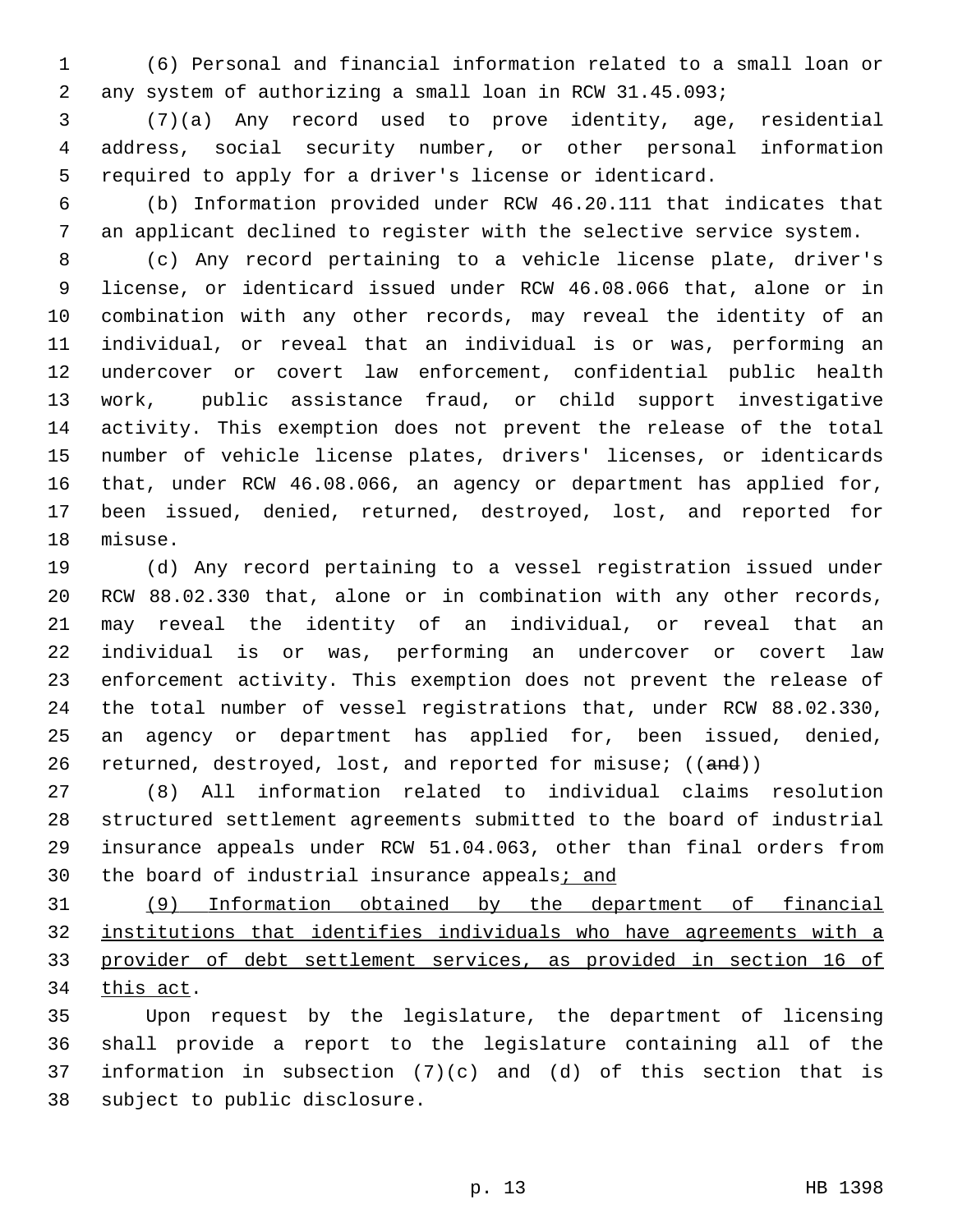(6) Personal and financial information related to a small loan or any system of authorizing a small loan in RCW 31.45.093;

 (7)(a) Any record used to prove identity, age, residential address, social security number, or other personal information required to apply for a driver's license or identicard.

 (b) Information provided under RCW 46.20.111 that indicates that an applicant declined to register with the selective service system.

 (c) Any record pertaining to a vehicle license plate, driver's license, or identicard issued under RCW 46.08.066 that, alone or in combination with any other records, may reveal the identity of an individual, or reveal that an individual is or was, performing an undercover or covert law enforcement, confidential public health work, public assistance fraud, or child support investigative activity. This exemption does not prevent the release of the total number of vehicle license plates, drivers' licenses, or identicards that, under RCW 46.08.066, an agency or department has applied for, been issued, denied, returned, destroyed, lost, and reported for 18 misuse.

 (d) Any record pertaining to a vessel registration issued under RCW 88.02.330 that, alone or in combination with any other records, may reveal the identity of an individual, or reveal that an individual is or was, performing an undercover or covert law enforcement activity. This exemption does not prevent the release of the total number of vessel registrations that, under RCW 88.02.330, an agency or department has applied for, been issued, denied, 26 returned, destroyed, lost, and reported for misuse; ((and))

 (8) All information related to individual claims resolution structured settlement agreements submitted to the board of industrial insurance appeals under RCW 51.04.063, other than final orders from 30 the board of industrial insurance appeals; and

 (9) Information obtained by the department of financial institutions that identifies individuals who have agreements with a provider of debt settlement services, as provided in section 16 of 34 this act.

 Upon request by the legislature, the department of licensing shall provide a report to the legislature containing all of the information in subsection (7)(c) and (d) of this section that is 38 subject to public disclosure.